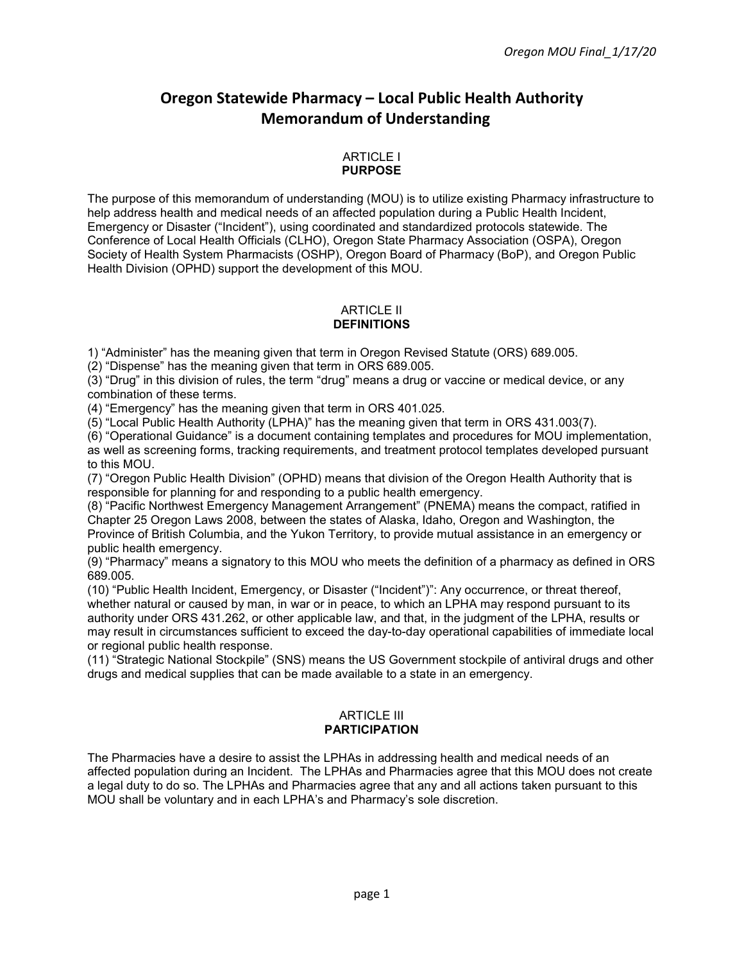# **Oregon Statewide Pharmacy – Local Public Health Authority Memorandum of Understanding**

#### ARTICLE I **PURPOSE**

The purpose of this memorandum of understanding (MOU) is to utilize existing Pharmacy infrastructure to help address health and medical needs of an affected population during a Public Health Incident, Emergency or Disaster ("Incident"), using coordinated and standardized protocols statewide. The Conference of Local Health Officials (CLHO), Oregon State Pharmacy Association (OSPA), Oregon Society of Health System Pharmacists (OSHP), Oregon Board of Pharmacy (BoP), and Oregon Public Health Division (OPHD) support the development of this MOU.

#### ARTICLE II **DEFINITIONS**

1) "Administer" has the meaning given that term in Oregon Revised Statute (ORS) 689.005.

(2) "Dispense" has the meaning given that term in ORS 689.005.

(3) "Drug" in this division of rules, the term "drug" means a drug or vaccine or medical device, or any combination of these terms.

(4) "Emergency" has the meaning given that term in ORS 401.025.

(5) "Local Public Health Authority (LPHA)" has the meaning given that term in ORS 431.003(7).

(6) "Operational Guidance" is a document containing templates and procedures for MOU implementation, as well as screening forms, tracking requirements, and treatment protocol templates developed pursuant to this MOU.

(7) "Oregon Public Health Division" (OPHD) means that division of the Oregon Health Authority that is responsible for planning for and responding to a public health emergency.

(8) "Pacific Northwest Emergency Management Arrangement" (PNEMA) means the compact, ratified in Chapter 25 Oregon Laws 2008, between the states of Alaska, Idaho, Oregon and Washington, the Province of British Columbia, and the Yukon Territory, to provide mutual assistance in an emergency or public health emergency.

(9) "Pharmacy" means a signatory to this MOU who meets the definition of a pharmacy as defined in ORS 689.005.

(10) "Public Health Incident, Emergency, or Disaster ("Incident")": Any occurrence, or threat thereof, whether natural or caused by man, in war or in peace, to which an LPHA may respond pursuant to its authority under ORS 431.262, or other applicable law, and that, in the judgment of the LPHA, results or may result in circumstances sufficient to exceed the day-to-day operational capabilities of immediate local or regional public health response.

(11) "Strategic National Stockpile" (SNS) means the US Government stockpile of antiviral drugs and other drugs and medical supplies that can be made available to a state in an emergency.

#### ARTICLE III **PARTICIPATION**

The Pharmacies have a desire to assist the LPHAs in addressing health and medical needs of an affected population during an Incident. The LPHAs and Pharmacies agree that this MOU does not create a legal duty to do so. The LPHAs and Pharmacies agree that any and all actions taken pursuant to this MOU shall be voluntary and in each LPHA's and Pharmacy's sole discretion.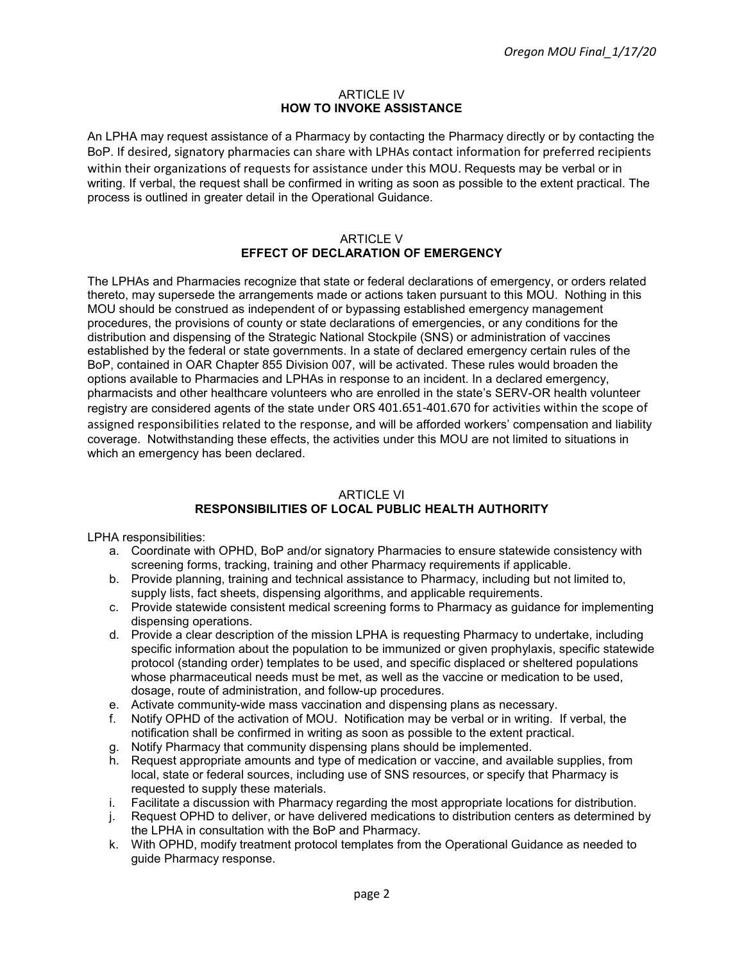#### **ARTICLE IV HOW TO INVOKE ASSISTANCE**

An LPHA may request assistance of a Pharmacy by contacting the Pharmacy directly or by contacting the BoP. If desired, signatory pharmacies can share with LPHAs contact information for preferred recipients within their organizations of requests for assistance under this MOU. Requests may be verbal or in writing. If verbal, the request shall be confirmed in writing as soon as possible to the extent practical. The process is outlined in greater detail in the Operational Guidance.

#### ARTICLE V **EFFECT OF DECLARATION OF EMERGENCY**

The LPHAs and Pharmacies recognize that state or federal declarations of emergency, or orders related thereto, may supersede the arrangements made or actions taken pursuant to this MOU. Nothing in this MOU should be construed as independent of or bypassing established emergency management procedures, the provisions of county or state declarations of emergencies, or any conditions for the distribution and dispensing of the Strategic National Stockpile (SNS) or administration of vaccines established by the federal or state governments. In a state of declared emergency certain rules of the BoP, contained in OAR Chapter 855 Division 007, will be activated. These rules would broaden the options available to Pharmacies and LPHAs in response to an incident. In a declared emergency, pharmacists and other healthcare volunteers who are enrolled in the state's SERV-OR health volunteer registry are considered agents of the state under ORS 401.651-401.670 for activities within the scope of assigned responsibilities related to the response, and will be afforded workers' compensation and liability coverage. Notwithstanding these effects, the activities under this MOU are not limited to situations in which an emergency has been declared.

# **ARTICLE VI**

# **RESPONSIBILITIES OF LOCAL PUBLIC HEALTH AUTHORITY**

LPHA responsibilities:

- a. Coordinate with OPHD, BoP and/or signatory Pharmacies to ensure statewide consistency with screening forms, tracking, training and other Pharmacy requirements if applicable.
- b. Provide planning, training and technical assistance to Pharmacy, including but not limited to, supply lists, fact sheets, dispensing algorithms, and applicable requirements.
- c. Provide statewide consistent medical screening forms to Pharmacy as guidance for implementing dispensing operations.
- d. Provide a clear description of the mission LPHA is requesting Pharmacy to undertake, including specific information about the population to be immunized or given prophylaxis, specific statewide protocol (standing order) templates to be used, and specific displaced or sheltered populations whose pharmaceutical needs must be met, as well as the vaccine or medication to be used, dosage, route of administration, and follow-up procedures.
- e. Activate community-wide mass vaccination and dispensing plans as necessary.
- f. Notify OPHD of the activation of MOU. Notification may be verbal or in writing. If verbal, the notification shall be confirmed in writing as soon as possible to the extent practical.
- g. Notify Pharmacy that community dispensing plans should be implemented.
- h. Request appropriate amounts and type of medication or vaccine, and available supplies, from local, state or federal sources, including use of SNS resources, or specify that Pharmacy is requested to supply these materials.
- i. Facilitate a discussion with Pharmacy regarding the most appropriate locations for distribution.
- j. Request OPHD to deliver, or have delivered medications to distribution centers as determined by the LPHA in consultation with the BoP and Pharmacy.
- k. With OPHD, modify treatment protocol templates from the Operational Guidance as needed to guide Pharmacy response.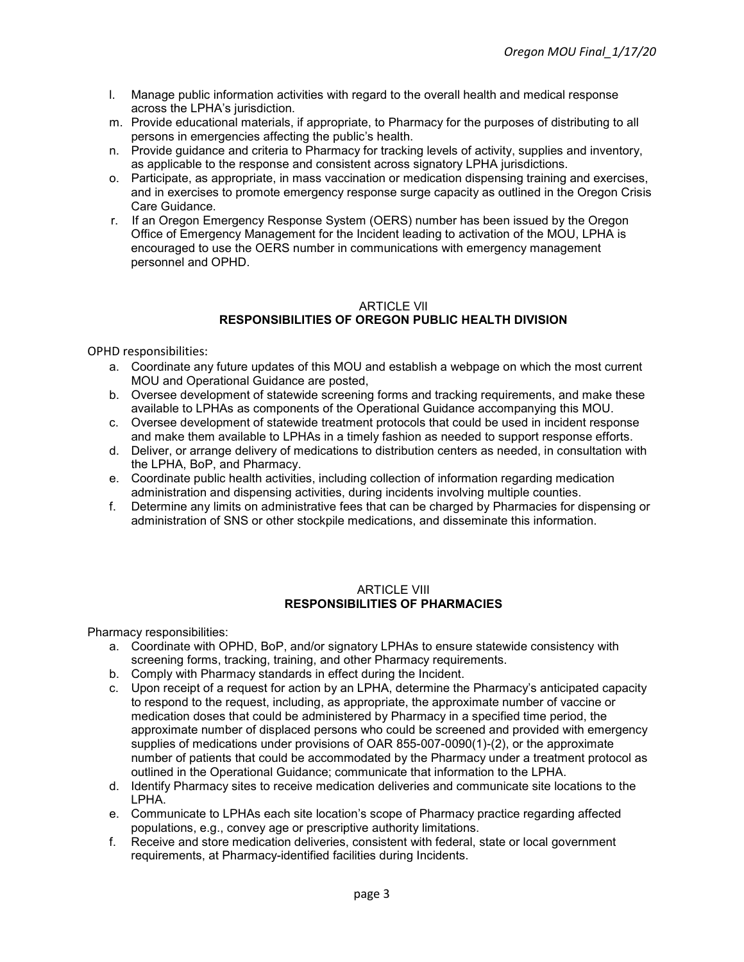- l. Manage public information activities with regard to the overall health and medical response across the LPHA's jurisdiction.
- m. Provide educational materials, if appropriate, to Pharmacy for the purposes of distributing to all persons in emergencies affecting the public's health.
- n. Provide guidance and criteria to Pharmacy for tracking levels of activity, supplies and inventory, as applicable to the response and consistent across signatory LPHA jurisdictions.
- o. Participate, as appropriate, in mass vaccination or medication dispensing training and exercises, and in exercises to promote emergency response surge capacity as outlined in the Oregon Crisis Care Guidance.
- r. If an Oregon Emergency Response System (OERS) number has been issued by the Oregon Office of Emergency Management for the Incident leading to activation of the MOU, LPHA is encouraged to use the OERS number in communications with emergency management personnel and OPHD.

### ARTICLE VlI **RESPONSIBILITIES OF OREGON PUBLIC HEALTH DIVISION**

OPHD responsibilities:

- a. Coordinate any future updates of this MOU and establish a webpage on which the most current MOU and Operational Guidance are posted,
- b. Oversee development of statewide screening forms and tracking requirements, and make these available to LPHAs as components of the Operational Guidance accompanying this MOU.
- c. Oversee development of statewide treatment protocols that could be used in incident response and make them available to LPHAs in a timely fashion as needed to support response efforts.
- d. Deliver, or arrange delivery of medications to distribution centers as needed, in consultation with the LPHA, BoP, and Pharmacy.
- e. Coordinate public health activities, including collection of information regarding medication administration and dispensing activities, during incidents involving multiple counties.
- f. Determine any limits on administrative fees that can be charged by Pharmacies for dispensing or administration of SNS or other stockpile medications, and disseminate this information.

## ARTICLE VIII **RESPONSIBILITIES OF PHARMACIES**

Pharmacy responsibilities:

- a. Coordinate with OPHD, BoP, and/or signatory LPHAs to ensure statewide consistency with screening forms, tracking, training, and other Pharmacy requirements.
- b. Comply with Pharmacy standards in effect during the Incident.
- c. Upon receipt of a request for action by an LPHA, determine the Pharmacy's anticipated capacity to respond to the request, including, as appropriate, the approximate number of vaccine or medication doses that could be administered by Pharmacy in a specified time period, the approximate number of displaced persons who could be screened and provided with emergency supplies of medications under provisions of OAR 855-007-0090(1)-(2), or the approximate number of patients that could be accommodated by the Pharmacy under a treatment protocol as outlined in the Operational Guidance; communicate that information to the LPHA.
- d. Identify Pharmacy sites to receive medication deliveries and communicate site locations to the LPHA.
- e. Communicate to LPHAs each site location's scope of Pharmacy practice regarding affected populations, e.g., convey age or prescriptive authority limitations.
- f. Receive and store medication deliveries, consistent with federal, state or local government requirements, at Pharmacy-identified facilities during Incidents.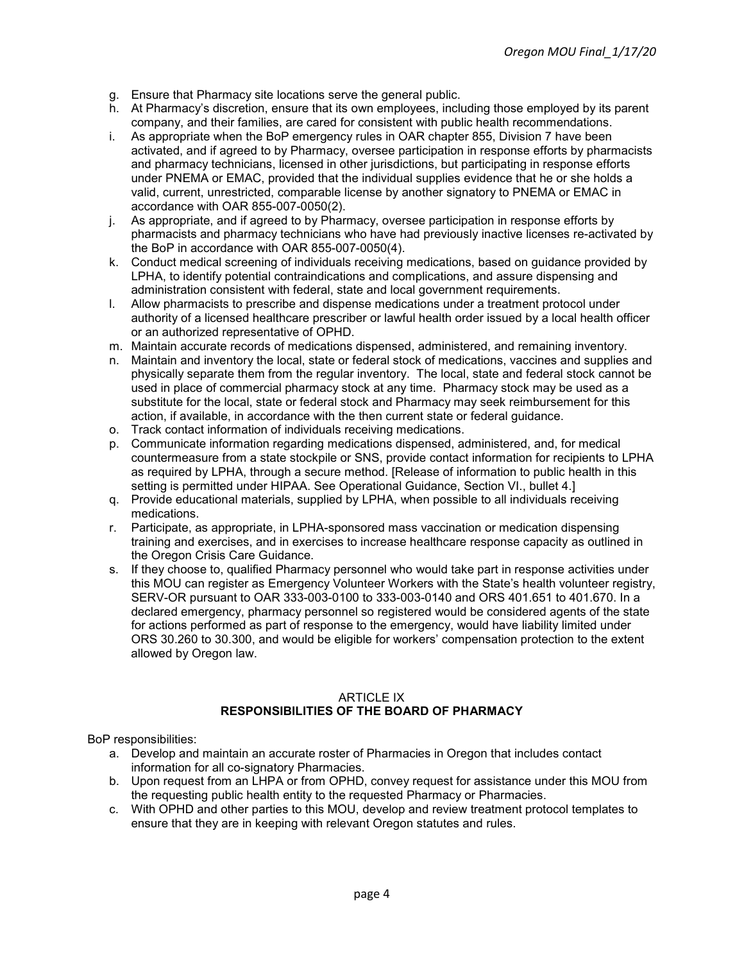- g. Ensure that Pharmacy site locations serve the general public.
- h. At Pharmacy's discretion, ensure that its own employees, including those employed by its parent company, and their families, are cared for consistent with public health recommendations.
- i. As appropriate when the BoP emergency rules in OAR chapter 855, Division 7 have been activated, and if agreed to by Pharmacy, oversee participation in response efforts by pharmacists and pharmacy technicians, licensed in other jurisdictions, but participating in response efforts under PNEMA or EMAC, provided that the individual supplies evidence that he or she holds a valid, current, unrestricted, comparable license by another signatory to PNEMA or EMAC in accordance with OAR 855-007-0050(2).
- j. As appropriate, and if agreed to by Pharmacy, oversee participation in response efforts by pharmacists and pharmacy technicians who have had previously inactive licenses re-activated by the BoP in accordance with OAR 855-007-0050(4).
- k. Conduct medical screening of individuals receiving medications, based on guidance provided by LPHA, to identify potential contraindications and complications, and assure dispensing and administration consistent with federal, state and local government requirements.
- l. Allow pharmacists to prescribe and dispense medications under a treatment protocol under authority of a licensed healthcare prescriber or lawful health order issued by a local health officer or an authorized representative of OPHD.
- m. Maintain accurate records of medications dispensed, administered, and remaining inventory.
- n. Maintain and inventory the local, state or federal stock of medications, vaccines and supplies and physically separate them from the regular inventory. The local, state and federal stock cannot be used in place of commercial pharmacy stock at any time. Pharmacy stock may be used as a substitute for the local, state or federal stock and Pharmacy may seek reimbursement for this action, if available, in accordance with the then current state or federal guidance.
- o. Track contact information of individuals receiving medications.
- p. Communicate information regarding medications dispensed, administered, and, for medical countermeasure from a state stockpile or SNS, provide contact information for recipients to LPHA as required by LPHA, through a secure method. [Release of information to public health in this setting is permitted under HIPAA. See Operational Guidance, Section VI., bullet 4.]
- q. Provide educational materials, supplied by LPHA, when possible to all individuals receiving medications.
- r. Participate, as appropriate, in LPHA-sponsored mass vaccination or medication dispensing training and exercises, and in exercises to increase healthcare response capacity as outlined in the Oregon Crisis Care Guidance.
- s. If they choose to, qualified Pharmacy personnel who would take part in response activities under this MOU can register as Emergency Volunteer Workers with the State's health volunteer registry, SERV-OR pursuant to OAR 333-003-0100 to 333-003-0140 and [ORS 401.651 to 401.670.](https://dhs-development.hr.state.or.us/volreg/index.cfm?page=ors) In a declared emergency, pharmacy personnel so registered would be considered agents of the state for actions performed as part of response to the emergency, would have liability limited under ORS 30.260 to 30.300, and would be eligible for workers' compensation protection to the extent allowed by Oregon law.

## ARTICLE IX **RESPONSIBILITIES OF THE BOARD OF PHARMACY**

BoP responsibilities:

- a. Develop and maintain an accurate roster of Pharmacies in Oregon that includes contact information for all co-signatory Pharmacies.
- b. Upon request from an LHPA or from OPHD, convey request for assistance under this MOU from the requesting public health entity to the requested Pharmacy or Pharmacies.
- c. With OPHD and other parties to this MOU, develop and review treatment protocol templates to ensure that they are in keeping with relevant Oregon statutes and rules.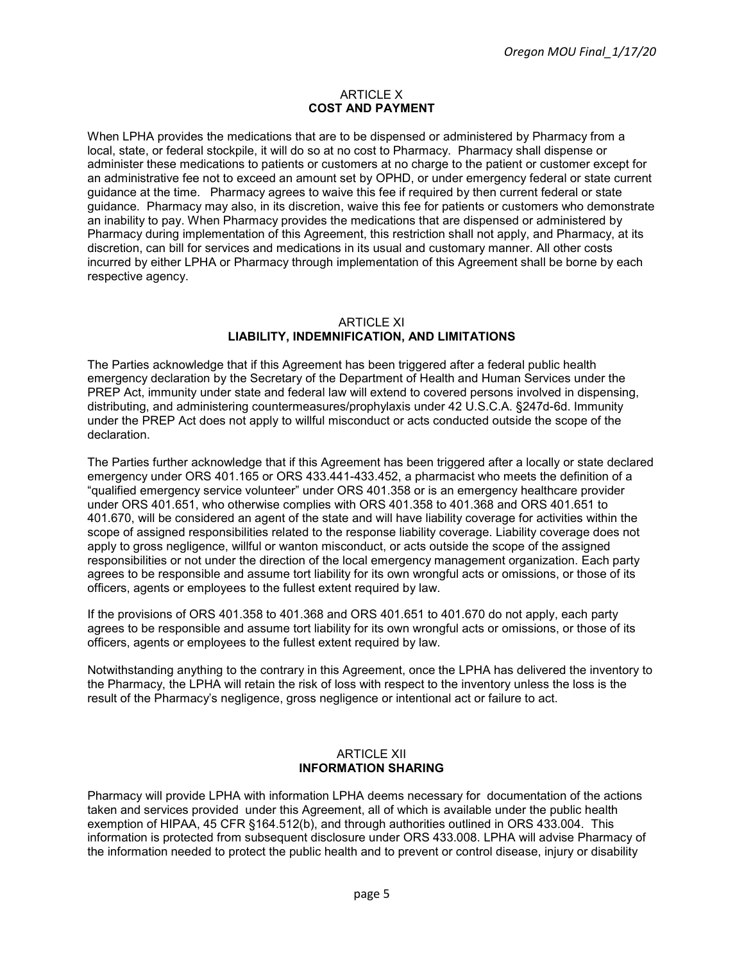#### **ARTICLE X COST AND PAYMENT**

When LPHA provides the medications that are to be dispensed or administered by Pharmacy from a local, state, or federal stockpile, it will do so at no cost to Pharmacy. Pharmacy shall dispense or administer these medications to patients or customers at no charge to the patient or customer except for an administrative fee not to exceed an amount set by OPHD, or under emergency federal or state current guidance at the time. Pharmacy agrees to waive this fee if required by then current federal or state guidance. Pharmacy may also, in its discretion, waive this fee for patients or customers who demonstrate an inability to pay. When Pharmacy provides the medications that are dispensed or administered by Pharmacy during implementation of this Agreement, this restriction shall not apply, and Pharmacy, at its discretion, can bill for services and medications in its usual and customary manner. All other costs incurred by either LPHA or Pharmacy through implementation of this Agreement shall be borne by each respective agency.

#### ARTICLE XI **LIABILITY, INDEMNIFICATION, AND LIMITATIONS**

The Parties acknowledge that if this Agreement has been triggered after a federal public health emergency declaration by the Secretary of the Department of Health and Human Services under the PREP Act, immunity under state and federal law will extend to covered persons involved in dispensing, distributing, and administering countermeasures/prophylaxis under 42 U.S.C.A. §247d-6d. Immunity under the PREP Act does not apply to willful misconduct or acts conducted outside the scope of the declaration.

The Parties further acknowledge that if this Agreement has been triggered after a locally or state declared emergency under ORS 401.165 or ORS 433.441-433.452, a pharmacist who meets the definition of a "qualified emergency service volunteer" under ORS 401.358 or is an emergency healthcare provider under ORS 401.651, who otherwise complies with ORS 401.358 to 401.368 and ORS 401.651 to 401.670, will be considered an agent of the state and will have liability coverage for activities within the scope of assigned responsibilities related to the response liability coverage. Liability coverage does not apply to gross negligence, willful or wanton misconduct, or acts outside the scope of the assigned responsibilities or not under the direction of the local emergency management organization. Each party agrees to be responsible and assume tort liability for its own wrongful acts or omissions, or those of its officers, agents or employees to the fullest extent required by law.

If the provisions of ORS 401.358 to 401.368 and ORS 401.651 to 401.670 do not apply, each party agrees to be responsible and assume tort liability for its own wrongful acts or omissions, or those of its officers, agents or employees to the fullest extent required by law.

Notwithstanding anything to the contrary in this Agreement, once the LPHA has delivered the inventory to the Pharmacy, the LPHA will retain the risk of loss with respect to the inventory unless the loss is the result of the Pharmacy's negligence, gross negligence or intentional act or failure to act.

#### ARTICLE XII **INFORMATION SHARING**

Pharmacy will provide LPHA with information LPHA deems necessary for documentation of the actions taken and services provided under this Agreement, all of which is available under the public health exemption of HIPAA, 45 CFR §164.512(b), and through authorities outlined in ORS 433.004. This information is protected from subsequent disclosure under ORS 433.008. LPHA will advise Pharmacy of the information needed to protect the public health and to prevent or control disease, injury or disability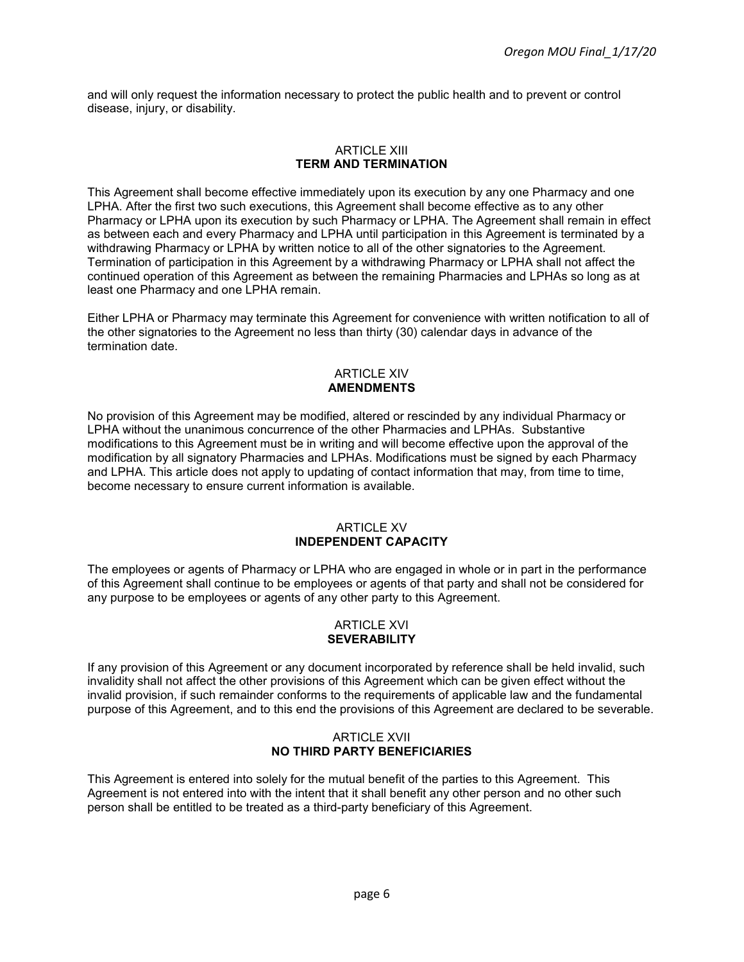and will only request the information necessary to protect the public health and to prevent or control disease, injury, or disability.

#### ARTICLE XIII **TERM AND TERMINATION**

This Agreement shall become effective immediately upon its execution by any one Pharmacy and one LPHA. After the first two such executions, this Agreement shall become effective as to any other Pharmacy or LPHA upon its execution by such Pharmacy or LPHA. The Agreement shall remain in effect as between each and every Pharmacy and LPHA until participation in this Agreement is terminated by a withdrawing Pharmacy or LPHA by written notice to all of the other signatories to the Agreement. Termination of participation in this Agreement by a withdrawing Pharmacy or LPHA shall not affect the continued operation of this Agreement as between the remaining Pharmacies and LPHAs so long as at least one Pharmacy and one LPHA remain.

Either LPHA or Pharmacy may terminate this Agreement for convenience with written notification to all of the other signatories to the Agreement no less than thirty (30) calendar days in advance of the termination date.

## ARTICLE XIV **AMENDMENTS**

No provision of this Agreement may be modified, altered or rescinded by any individual Pharmacy or LPHA without the unanimous concurrence of the other Pharmacies and LPHAs. Substantive modifications to this Agreement must be in writing and will become effective upon the approval of the modification by all signatory Pharmacies and LPHAs. Modifications must be signed by each Pharmacy and LPHA. This article does not apply to updating of contact information that may, from time to time, become necessary to ensure current information is available.

#### ARTICLE XV **INDEPENDENT CAPACITY**

The employees or agents of Pharmacy or LPHA who are engaged in whole or in part in the performance of this Agreement shall continue to be employees or agents of that party and shall not be considered for any purpose to be employees or agents of any other party to this Agreement.

#### ARTICLE XVI **SEVERABILITY**

If any provision of this Agreement or any document incorporated by reference shall be held invalid, such invalidity shall not affect the other provisions of this Agreement which can be given effect without the invalid provision, if such remainder conforms to the requirements of applicable law and the fundamental purpose of this Agreement, and to this end the provisions of this Agreement are declared to be severable.

#### ARTICLE XVII **NO THIRD PARTY BENEFICIARIES**

This Agreement is entered into solely for the mutual benefit of the parties to this Agreement. This Agreement is not entered into with the intent that it shall benefit any other person and no other such person shall be entitled to be treated as a third-party beneficiary of this Agreement.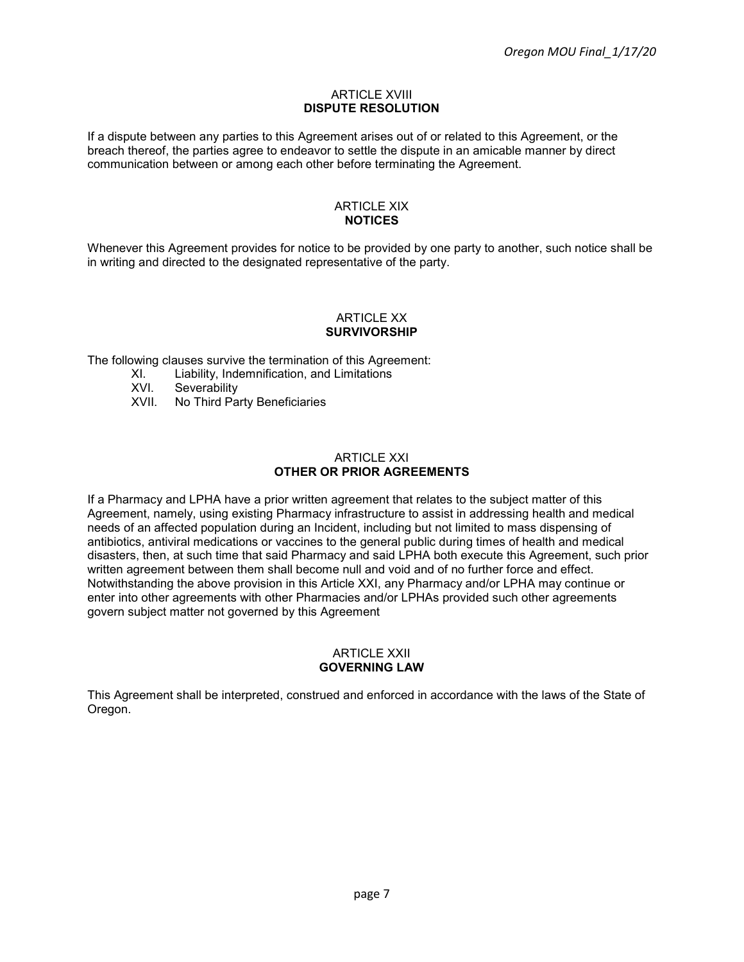#### **ARTICLE XVIII DISPUTE RESOLUTION**

If a dispute between any parties to this Agreement arises out of or related to this Agreement, or the breach thereof, the parties agree to endeavor to settle the dispute in an amicable manner by direct communication between or among each other before terminating the Agreement.

#### ARTICLE XIX **NOTICES**

Whenever this Agreement provides for notice to be provided by one party to another, such notice shall be in writing and directed to the designated representative of the party.

#### ARTICLE XX **SURVIVORSHIP**

The following clauses survive the termination of this Agreement:

- XI. Liability, Indemnification, and Limitations<br>XVI. Severability
- XVI. Severability<br>XVII. No Third Pa
- No Third Party Beneficiaries

#### ARTICLE XXI **OTHER OR PRIOR AGREEMENTS**

If a Pharmacy and LPHA have a prior written agreement that relates to the subject matter of this Agreement, namely, using existing Pharmacy infrastructure to assist in addressing health and medical needs of an affected population during an Incident, including but not limited to mass dispensing of antibiotics, antiviral medications or vaccines to the general public during times of health and medical disasters, then, at such time that said Pharmacy and said LPHA both execute this Agreement, such prior written agreement between them shall become null and void and of no further force and effect. Notwithstanding the above provision in this Article XXI, any Pharmacy and/or LPHA may continue or enter into other agreements with other Pharmacies and/or LPHAs provided such other agreements govern subject matter not governed by this Agreement

#### ARTICLE XXII **GOVERNING LAW**

This Agreement shall be interpreted, construed and enforced in accordance with the laws of the State of Oregon.